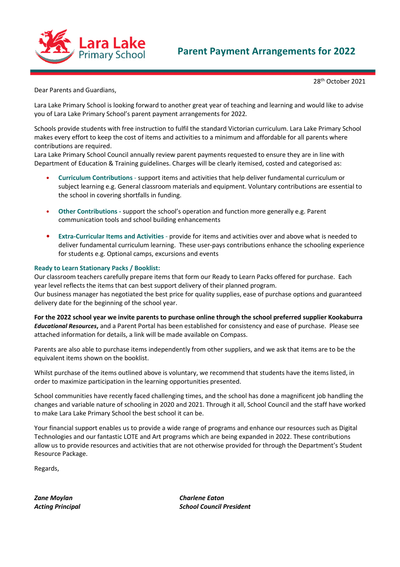

## Parent Payment Arrangements for 2022

28th October 2021

Dear Parents and Guardians,

Lara Lake Primary School is looking forward to another great year of teaching and learning and would like to advise you of Lara Lake Primary School's parent payment arrangements for 2022.

Schools provide students with free instruction to fulfil the standard Victorian curriculum. Lara Lake Primary School makes every effort to keep the cost of items and activities to a minimum and affordable for all parents where contributions are required.

Lara Lake Primary School Council annually review parent payments requested to ensure they are in line with Department of Education & Training guidelines. Charges will be clearly itemised, costed and categorised as:

- Curriculum Contributions support items and activities that help deliver fundamental curriculum or subject learning e.g. General classroom materials and equipment. Voluntary contributions are essential to the school in covering shortfalls in funding.
- Other Contributions support the school's operation and function more generally e.g. Parent communication tools and school building enhancements
- Extra-Curricular Items and Activities provide for items and activities over and above what is needed to deliver fundamental curriculum learning. These user-pays contributions enhance the schooling experience for students e.g. Optional camps, excursions and events

#### Ready to Learn Stationary Packs / Booklist:

Our classroom teachers carefully prepare items that form our Ready to Learn Packs offered for purchase. Each year level reflects the items that can best support delivery of their planned program.

Our business manager has negotiated the best price for quality supplies, ease of purchase options and guaranteed delivery date for the beginning of the school year.

For the 2022 school year we invite parents to purchase online through the school preferred supplier Kookaburra Educational Resources, and a Parent Portal has been established for consistency and ease of purchase. Please see attached information for details, a link will be made available on Compass.

Parents are also able to purchase items independently from other suppliers, and we ask that items are to be the equivalent items shown on the booklist.

Whilst purchase of the items outlined above is voluntary, we recommend that students have the items listed, in order to maximize participation in the learning opportunities presented.

School communities have recently faced challenging times, and the school has done a magnificent job handling the changes and variable nature of schooling in 2020 and 2021. Through it all, School Council and the staff have worked to make Lara Lake Primary School the best school it can be.

Your financial support enables us to provide a wide range of programs and enhance our resources such as Digital Technologies and our fantastic LOTE and Art programs which are being expanded in 2022. These contributions allow us to provide resources and activities that are not otherwise provided for through the Department's Student Resource Package.

Regards,

Zane Moylan Charlene Eaton

Acting Principal **Action** School Council President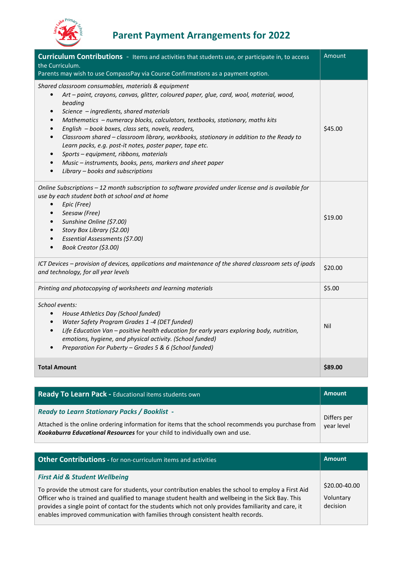

# Parent Payment Arrangements for 2022

| <b>Curriculum Contributions</b> - Items and activities that students use, or participate in, to access<br>the Curriculum.<br>Parents may wish to use CompassPay via Course Confirmations as a payment option.                                                                                                                                                                                                                                                                                                                                                                                                                                                                                                                 | Amount  |
|-------------------------------------------------------------------------------------------------------------------------------------------------------------------------------------------------------------------------------------------------------------------------------------------------------------------------------------------------------------------------------------------------------------------------------------------------------------------------------------------------------------------------------------------------------------------------------------------------------------------------------------------------------------------------------------------------------------------------------|---------|
| Shared classroom consumables, materials & equipment<br>Art - paint, crayons, canvas, glitter, coloured paper, glue, card, wool, material, wood,<br>beading<br>Science - ingredients, shared materials<br>$\bullet$<br>Mathematics - numeracy blocks, calculators, textbooks, stationary, maths kits<br>$\bullet$<br>English - book boxes, class sets, novels, readers,<br>$\bullet$<br>Classroom shared - classroom library, workbooks, stationary in addition to the Ready to<br>$\bullet$<br>Learn packs, e.g. post-it notes, poster paper, tape etc.<br>Sports - equipment, ribbons, materials<br>Music - instruments, books, pens, markers and sheet paper<br>$\bullet$<br>Library - books and subscriptions<br>$\bullet$ | \$45.00 |
| Online Subscriptions - 12 month subscription to software provided under license and is available for<br>use by each student both at school and at home<br>Epic (Free)<br>$\bullet$<br>Seesaw (Free)<br>$\bullet$<br>Sunshine Online (\$7.00)<br>$\bullet$<br>Story Box Library (\$2.00)<br>$\bullet$<br>Essential Assessments (\$7.00)<br>Book Creator (\$3.00)                                                                                                                                                                                                                                                                                                                                                               | \$19.00 |
| ICT Devices - provision of devices, applications and maintenance of the shared classroom sets of ipads<br>and technology, for all year levels                                                                                                                                                                                                                                                                                                                                                                                                                                                                                                                                                                                 | \$20.00 |
| Printing and photocopying of worksheets and learning materials                                                                                                                                                                                                                                                                                                                                                                                                                                                                                                                                                                                                                                                                | \$5.00  |
| School events:<br>House Athletics Day (School funded)<br>Water Safety Program Grades 1 -4 (DET funded)<br>$\bullet$<br>Life Education Van - positive health education for early years exploring body, nutrition,<br>$\bullet$<br>emotions, hygiene, and physical activity. (School funded)<br>Preparation For Puberty - Grades 5 & 6 (School funded)                                                                                                                                                                                                                                                                                                                                                                          | Nil     |
| <b>Total Amount</b>                                                                                                                                                                                                                                                                                                                                                                                                                                                                                                                                                                                                                                                                                                           | \$89.00 |

| Ready To Learn Pack - Educational items students own                                                                                                                                                                                      | <b>Amount</b> |
|-------------------------------------------------------------------------------------------------------------------------------------------------------------------------------------------------------------------------------------------|---------------|
| <b>Ready to Learn Stationary Packs / Booklist -</b><br>Attached is the online ordering information for items that the school recommends you purchase from<br>Kookaburra Educational Resources for your child to individually own and use. |               |

| <b>Other Contributions</b> - for non-curriculum items and activities                                                                                                                                                                                                                                                                                                                                                                            | <b>Amount</b>                          |
|-------------------------------------------------------------------------------------------------------------------------------------------------------------------------------------------------------------------------------------------------------------------------------------------------------------------------------------------------------------------------------------------------------------------------------------------------|----------------------------------------|
| <b>First Aid &amp; Student Wellbeing</b><br>To provide the utmost care for students, your contribution enables the school to employ a First Aid<br>Officer who is trained and qualified to manage student health and wellbeing in the Sick Bay. This<br>provides a single point of contact for the students which not only provides familiarity and care, it<br>enables improved communication with families through consistent health records. | \$20.00-40.00<br>Voluntary<br>decision |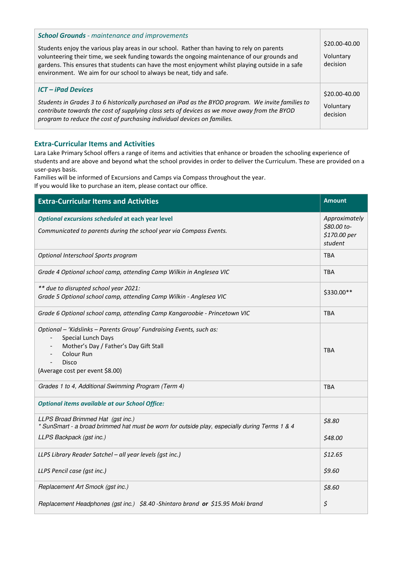| <b>School Grounds</b> - maintenance and improvements<br>Students enjoy the various play areas in our school. Rather than having to rely on parents<br>volunteering their time, we seek funding towards the ongoing maintenance of our grounds and<br>gardens. This ensures that students can have the most enjoyment whilst playing outside in a safe<br>environment. We aim for our school to always be neat, tidy and safe. | \$20.00-40.00<br>Voluntary<br>decision |
|-------------------------------------------------------------------------------------------------------------------------------------------------------------------------------------------------------------------------------------------------------------------------------------------------------------------------------------------------------------------------------------------------------------------------------|----------------------------------------|
| <b>ICT</b> – iPad Devices<br>Students in Grades 3 to 6 historically purchased an iPad as the BYOD program. We invite families to<br>contribute towards the cost of supplying class sets of devices as we move away from the BYOD<br>program to reduce the cost of purchasing individual devices on families.                                                                                                                  | \$20.00-40.00<br>Voluntary<br>decision |

#### Extra-Curricular Items and Activities

Lara Lake Primary School offers a range of items and activities that enhance or broaden the schooling experience of students and are above and beyond what the school provides in order to deliver the Curriculum. These are provided on a user-pays basis.

Families will be informed of Excursions and Camps via Compass throughout the year.

If you would like to purchase an item, please contact our office.

| <b>Extra-Curricular Items and Activities</b>                                                                                                                                                  | <b>Amount</b> |  |
|-----------------------------------------------------------------------------------------------------------------------------------------------------------------------------------------------|---------------|--|
| Optional excursions scheduled at each year level<br>Communicated to parents during the school year via Compass Events.                                                                        |               |  |
| Optional Interschool Sports program                                                                                                                                                           | <b>TBA</b>    |  |
| Grade 4 Optional school camp, attending Camp Wilkin in Anglesea VIC                                                                                                                           |               |  |
| ** due to disrupted school year 2021:<br>Grade 5 Optional school camp, attending Camp Wilkin - Anglesea VIC                                                                                   | \$330.00**    |  |
| Grade 6 Optional school camp, attending Camp Kangaroobie - Princetown VIC                                                                                                                     | <b>TBA</b>    |  |
| Optional - 'Kidslinks - Parents Group' Fundraising Events, such as:<br>Special Lunch Days<br>Mother's Day / Father's Day Gift Stall<br>Colour Run<br>Disco<br>(Average cost per event \$8.00) | <b>TBA</b>    |  |
| Grades 1 to 4, Additional Swimming Program (Term 4)                                                                                                                                           | <b>TBA</b>    |  |
| <b>Optional items available at our School Office:</b>                                                                                                                                         |               |  |
| LLPS Broad Brimmed Hat (gst inc.)<br>* SunSmart - a broad brimmed hat must be worn for outside play, especially during Terms 1 & 4                                                            | \$8.80        |  |
| LLPS Backpack (gst inc.)                                                                                                                                                                      | \$48.00       |  |
| LLPS Library Reader Satchel - all year levels (gst inc.)                                                                                                                                      | \$12.65       |  |
| LLPS Pencil case (gst inc.)                                                                                                                                                                   | \$9.60        |  |
| Replacement Art Smock (gst inc.)                                                                                                                                                              | \$8.60        |  |
| Replacement Headphones (gst inc.) \$8.40 - Shintaro brand or \$15.95 Moki brand                                                                                                               | \$            |  |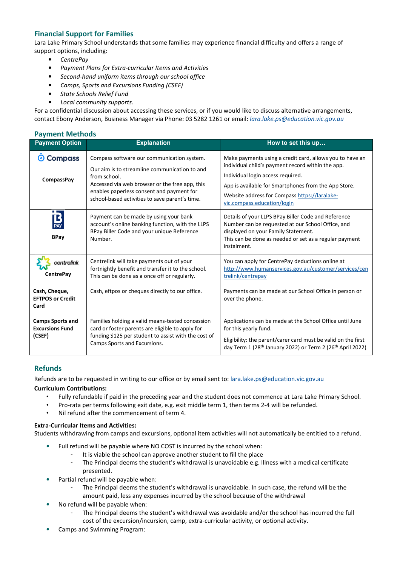### Financial Support for Families

Lara Lake Primary School understands that some families may experience financial difficulty and offers a range of support options, including:

- CentrePay
- Payment Plans for Extra-curricular Items and Activities
- Second-hand uniform items through our school office
- Camps, Sports and Excursions Funding (CSEF)
- State Schools Relief Fund
- Local community supports.

For a confidential discussion about accessing these services, or if you would like to discuss alternative arrangements, contact Ebony Anderson, Business Manager via Phone: 03 5282 1261 or email: lara.lake.ps@education.vic.gov.au

#### Payment Methods

| <b>Payment Option</b>                                       | <b>Explanation</b>                                                                                                                                                                                                                                           | How to set this up                                                                                                                                                                                                                                                                         |  |
|-------------------------------------------------------------|--------------------------------------------------------------------------------------------------------------------------------------------------------------------------------------------------------------------------------------------------------------|--------------------------------------------------------------------------------------------------------------------------------------------------------------------------------------------------------------------------------------------------------------------------------------------|--|
| <b>Compass</b><br>Ø<br><b>CompassPay</b>                    | Compass software our communication system.<br>Our aim is to streamline communication to and<br>from school.<br>Accessed via web browser or the free app, this<br>enables paperless consent and payment for<br>school-based activities to save parent's time. | Make payments using a credit card, allows you to have an<br>individual child's payment record within the app.<br>Individual login access required.<br>App is available for Smartphones from the App Store.<br>Website address for Compass https://laralake-<br>vic.compass.education/login |  |
| $B_{\text{PAY}}$<br><b>BPay</b>                             | Payment can be made by using your bank<br>account's online banking function, with the LLPS<br>BPay Biller Code and your unique Reference<br>Number.                                                                                                          | Details of your LLPS BPay Biller Code and Reference<br>Number can be requested at our School Office, and<br>displayed on your Family Statement.<br>This can be done as needed or set as a regular payment<br>instalment.                                                                   |  |
| centrelink<br><b>CentrePay</b>                              | Centrelink will take payments out of your<br>fortnightly benefit and transfer it to the school.<br>This can be done as a once off or regularly.                                                                                                              | You can apply for CentrePay deductions online at<br>http://www.humanservices.gov.au/customer/services/cen<br>trelink/centrepay                                                                                                                                                             |  |
| Cash, Cheque,<br><b>EFTPOS or Credit</b><br>Card            | Payments can be made at our School Office in person or<br>Cash, eftpos or cheques directly to our office.<br>over the phone.                                                                                                                                 |                                                                                                                                                                                                                                                                                            |  |
| <b>Camps Sports and</b><br><b>Excursions Fund</b><br>(CSEF) | Families holding a valid means-tested concession<br>card or foster parents are eligible to apply for<br>funding \$125 per student to assist with the cost of<br>Camps Sports and Excursions.                                                                 | Applications can be made at the School Office until June<br>for this yearly fund.<br>Eligibility: the parent/carer card must be valid on the first<br>day Term 1 (28 <sup>th</sup> January 2022) or Term 2 (26 <sup>th</sup> April 2022)                                                   |  |

#### **Refunds**

Refunds are to be requested in writing to our office or by email sent to: lara.lake.ps@education.vic.gov.au

#### Curriculum Contributions:

- Fully refundable if paid in the preceding year and the student does not commence at Lara Lake Primary School.
- Pro-rata per terms following exit date, e.g. exit middle term 1, then terms 2-4 will be refunded.
- Nil refund after the commencement of term 4.

#### Extra-Curricular Items and Activities:

Students withdrawing from camps and excursions, optional item activities will not automatically be entitled to a refund.

- Full refund will be payable where NO COST is incurred by the school when:
	- It is viable the school can approve another student to fill the place
	- The Principal deems the student's withdrawal is unavoidable e.g. Illness with a medical certificate presented.
- Partial refund will be payable when:
	- The Principal deems the student's withdrawal is unavoidable. In such case, the refund will be the amount paid, less any expenses incurred by the school because of the withdrawal
- No refund will be payable when:
	- The Principal deems the student's withdrawal was avoidable and/or the school has incurred the full cost of the excursion/incursion, camp, extra-curricular activity, or optional activity.
- Camps and Swimming Program: